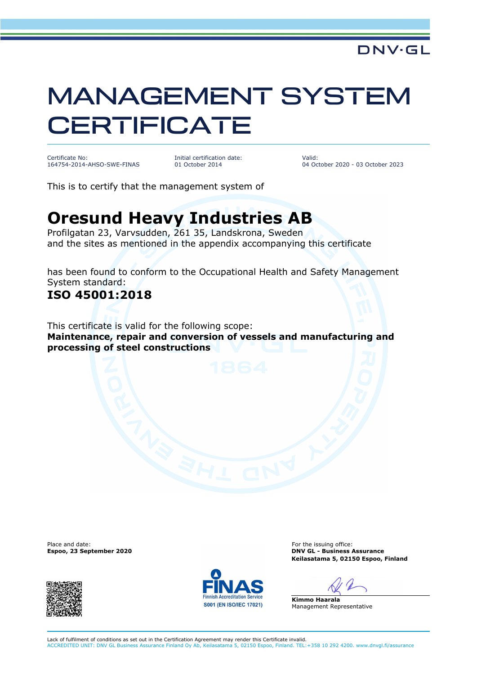# MANAGEMENT SYSTEM **CERTIFICATE**

Certificate No: 164754-2014-AHSO-SWE-FINAS Initial certification date: 01 October 2014

Valid: 04 October 2020 - 03 October 2023

This is to certify that the management system of

## **Oresund Heavy Industries AB**

Profilgatan 23, Varvsudden, 261 35, Landskrona, Sweden and the sites as mentioned in the appendix accompanying this certificate

has been found to conform to the Occupational Health and Safety Management System standard:

### **ISO 45001:2018**

This certificate is valid for the following scope: **Maintenance, repair and conversion of vessels and manufacturing and processing of steel constructions**

Place and date:<br>Espoo, 23 September 2020





For the issuing office: **DNV GL - Business Assurance Keilasatama 5, 02150 Espoo, Finland**

**Kimmo Haarala** Management Representative

Lack of fulfilment of conditions as set out in the Certification Agreement may render this Certificate invalid. ACCREDITED UNIT: DNV GL Business Assurance Finland Oy Ab, Keilasatama 5, 02150 Espoo, Finland. TEL:+358 10 292 4200. www.dnvgl.fi/assurance